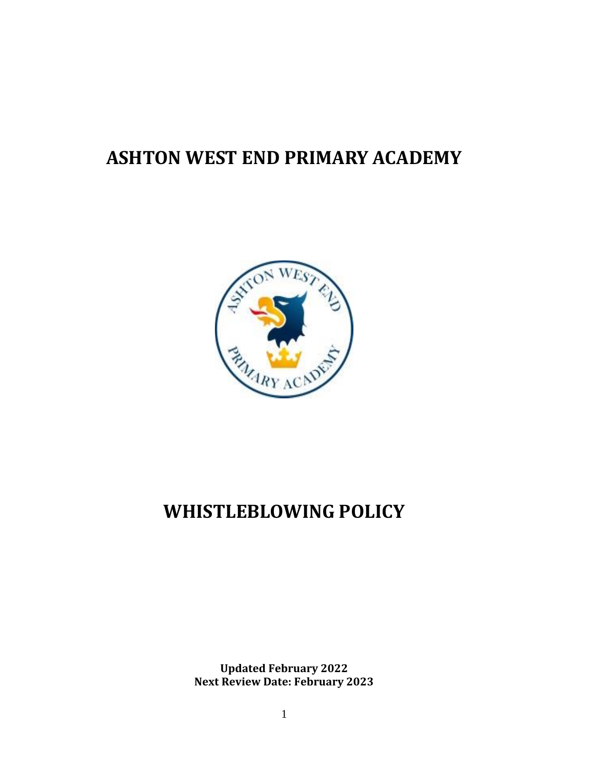# **ASHTON WEST END PRIMARY ACADEMY**



# **WHISTLEBLOWING POLICY**

**Updated February 2022 Next Review Date: February 2023**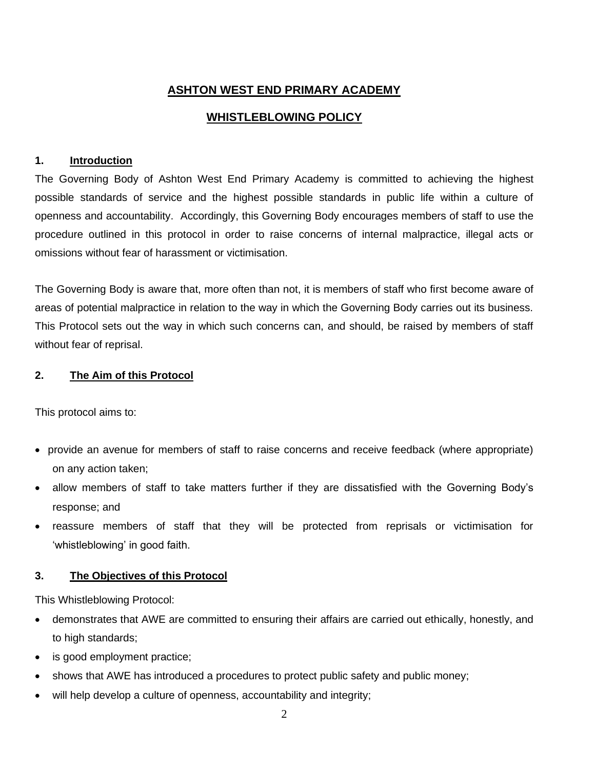# **ASHTON WEST END PRIMARY ACADEMY**

# **WHISTLEBLOWING POLICY**

# **1. Introduction**

The Governing Body of Ashton West End Primary Academy is committed to achieving the highest possible standards of service and the highest possible standards in public life within a culture of openness and accountability. Accordingly, this Governing Body encourages members of staff to use the procedure outlined in this protocol in order to raise concerns of internal malpractice, illegal acts or omissions without fear of harassment or victimisation.

The Governing Body is aware that, more often than not, it is members of staff who first become aware of areas of potential malpractice in relation to the way in which the Governing Body carries out its business. This Protocol sets out the way in which such concerns can, and should, be raised by members of staff without fear of reprisal.

# **2. The Aim of this Protocol**

This protocol aims to:

- provide an avenue for members of staff to raise concerns and receive feedback (where appropriate) on any action taken;
- allow members of staff to take matters further if they are dissatisfied with the Governing Body's response; and
- reassure members of staff that they will be protected from reprisals or victimisation for 'whistleblowing' in good faith.

# **3. The Objectives of this Protocol**

This Whistleblowing Protocol:

- demonstrates that AWE are committed to ensuring their affairs are carried out ethically, honestly, and to high standards;
- is good employment practice;
- shows that AWE has introduced a procedures to protect public safety and public money;
- will help develop a culture of openness, accountability and integrity;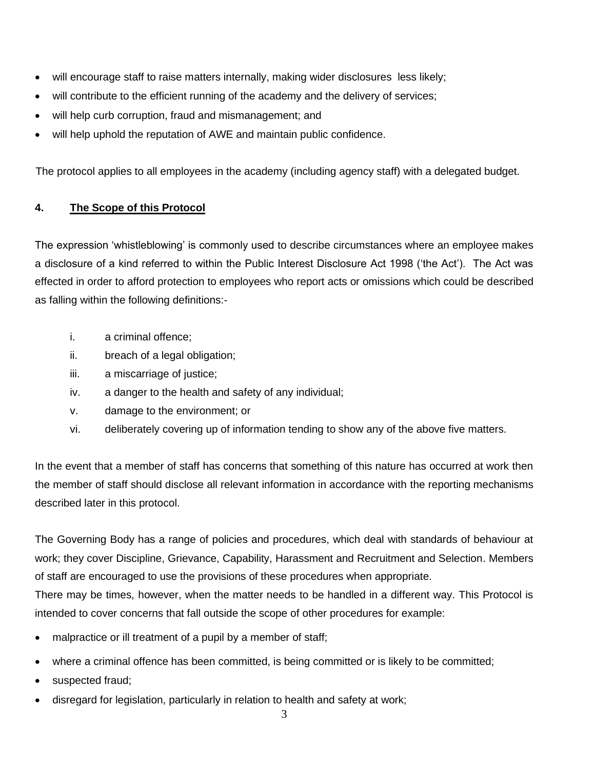- will encourage staff to raise matters internally, making wider disclosures less likely;
- will contribute to the efficient running of the academy and the delivery of services;
- will help curb corruption, fraud and mismanagement; and
- will help uphold the reputation of AWE and maintain public confidence.

The protocol applies to all employees in the academy (including agency staff) with a delegated budget.

# **4. The Scope of this Protocol**

The expression 'whistleblowing' is commonly used to describe circumstances where an employee makes a disclosure of a kind referred to within the Public Interest Disclosure Act 1998 ('the Act'). The Act was effected in order to afford protection to employees who report acts or omissions which could be described as falling within the following definitions:-

- i. a criminal offence;
- ii. breach of a legal obligation;
- iii. a miscarriage of justice;
- iv. a danger to the health and safety of any individual;
- v. damage to the environment; or
- vi. deliberately covering up of information tending to show any of the above five matters.

In the event that a member of staff has concerns that something of this nature has occurred at work then the member of staff should disclose all relevant information in accordance with the reporting mechanisms described later in this protocol.

The Governing Body has a range of policies and procedures, which deal with standards of behaviour at work; they cover Discipline, Grievance, Capability, Harassment and Recruitment and Selection. Members of staff are encouraged to use the provisions of these procedures when appropriate.

There may be times, however, when the matter needs to be handled in a different way. This Protocol is intended to cover concerns that fall outside the scope of other procedures for example:

- malpractice or ill treatment of a pupil by a member of staff;
- where a criminal offence has been committed, is being committed or is likely to be committed;
- suspected fraud;
- disregard for legislation, particularly in relation to health and safety at work;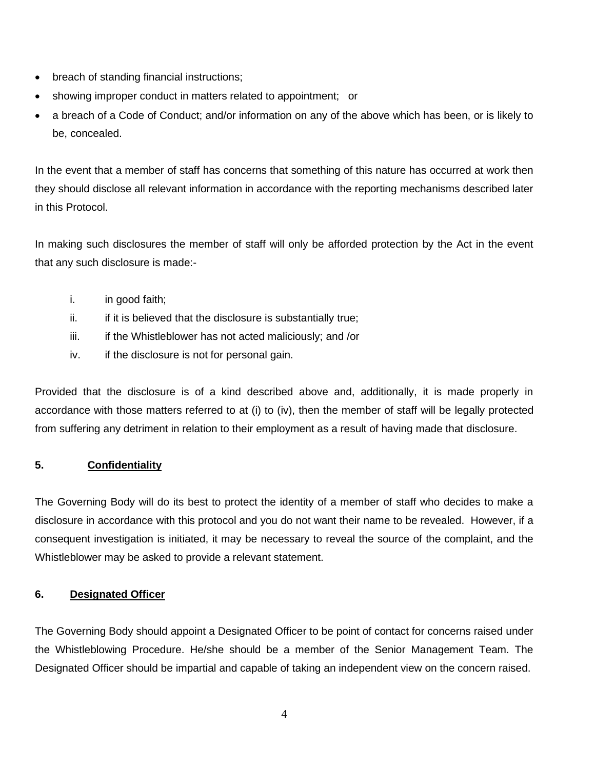- breach of standing financial instructions;
- showing improper conduct in matters related to appointment; or
- a breach of a Code of Conduct; and/or information on any of the above which has been, or is likely to be, concealed.

In the event that a member of staff has concerns that something of this nature has occurred at work then they should disclose all relevant information in accordance with the reporting mechanisms described later in this Protocol.

In making such disclosures the member of staff will only be afforded protection by the Act in the event that any such disclosure is made:-

- i. in good faith;
- $ii.$  if it is believed that the disclosure is substantially true;
- $iii.$  if the Whistleblower has not acted maliciously; and /or
- iv. if the disclosure is not for personal gain.

Provided that the disclosure is of a kind described above and, additionally, it is made properly in accordance with those matters referred to at (i) to (iv), then the member of staff will be legally protected from suffering any detriment in relation to their employment as a result of having made that disclosure.

# **5. Confidentiality**

The Governing Body will do its best to protect the identity of a member of staff who decides to make a disclosure in accordance with this protocol and you do not want their name to be revealed. However, if a consequent investigation is initiated, it may be necessary to reveal the source of the complaint, and the Whistleblower may be asked to provide a relevant statement.

# **6. Designated Officer**

The Governing Body should appoint a Designated Officer to be point of contact for concerns raised under the Whistleblowing Procedure. He/she should be a member of the Senior Management Team. The Designated Officer should be impartial and capable of taking an independent view on the concern raised.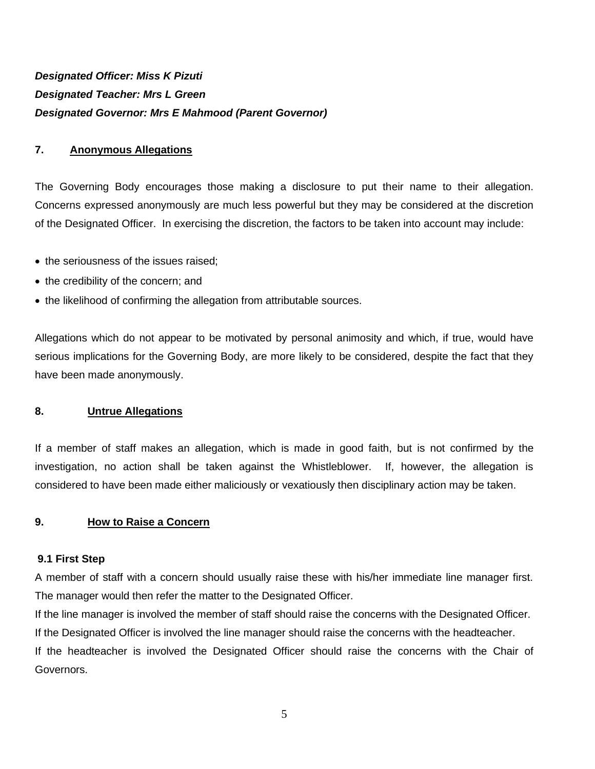# *Designated Officer: Miss K Pizuti Designated Teacher: Mrs L Green Designated Governor: Mrs E Mahmood (Parent Governor)*

#### **7. Anonymous Allegations**

The Governing Body encourages those making a disclosure to put their name to their allegation. Concerns expressed anonymously are much less powerful but they may be considered at the discretion of the Designated Officer. In exercising the discretion, the factors to be taken into account may include:

- the seriousness of the issues raised;
- the credibility of the concern; and
- the likelihood of confirming the allegation from attributable sources.

Allegations which do not appear to be motivated by personal animosity and which, if true, would have serious implications for the Governing Body, are more likely to be considered, despite the fact that they have been made anonymously.

#### **8. Untrue Allegations**

If a member of staff makes an allegation, which is made in good faith, but is not confirmed by the investigation, no action shall be taken against the Whistleblower. If, however, the allegation is considered to have been made either maliciously or vexatiously then disciplinary action may be taken.

#### **9. How to Raise a Concern**

#### **9.1 First Step**

A member of staff with a concern should usually raise these with his/her immediate line manager first. The manager would then refer the matter to the Designated Officer.

If the line manager is involved the member of staff should raise the concerns with the Designated Officer. If the Designated Officer is involved the line manager should raise the concerns with the headteacher. If the headteacher is involved the Designated Officer should raise the concerns with the Chair of Governors.

5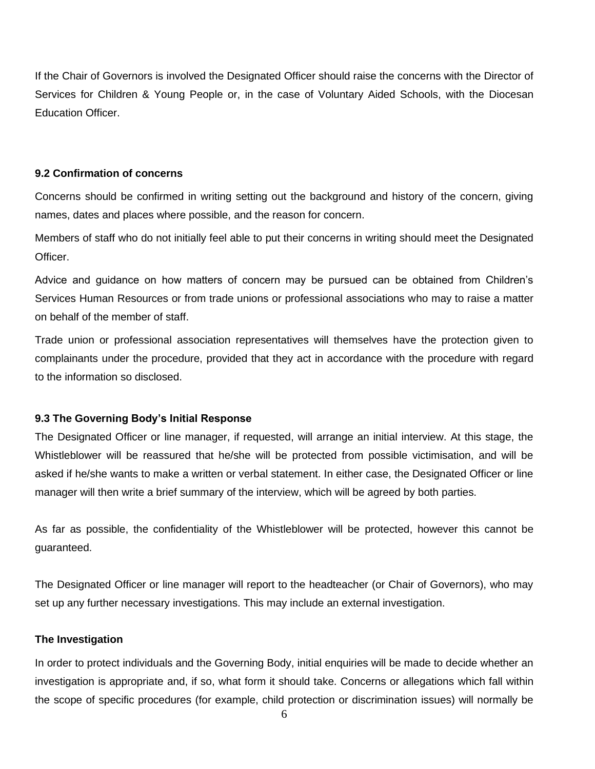If the Chair of Governors is involved the Designated Officer should raise the concerns with the Director of Services for Children & Young People or, in the case of Voluntary Aided Schools, with the Diocesan Education Officer.

#### **9.2 Confirmation of concerns**

Concerns should be confirmed in writing setting out the background and history of the concern, giving names, dates and places where possible, and the reason for concern.

Members of staff who do not initially feel able to put their concerns in writing should meet the Designated Officer.

Advice and guidance on how matters of concern may be pursued can be obtained from Children's Services Human Resources or from trade unions or professional associations who may to raise a matter on behalf of the member of staff.

Trade union or professional association representatives will themselves have the protection given to complainants under the procedure, provided that they act in accordance with the procedure with regard to the information so disclosed.

# **9.3 The Governing Body's Initial Response**

The Designated Officer or line manager, if requested, will arrange an initial interview. At this stage, the Whistleblower will be reassured that he/she will be protected from possible victimisation, and will be asked if he/she wants to make a written or verbal statement. In either case, the Designated Officer or line manager will then write a brief summary of the interview, which will be agreed by both parties.

As far as possible, the confidentiality of the Whistleblower will be protected, however this cannot be guaranteed.

The Designated Officer or line manager will report to the headteacher (or Chair of Governors), who may set up any further necessary investigations. This may include an external investigation.

# **The Investigation**

In order to protect individuals and the Governing Body, initial enquiries will be made to decide whether an investigation is appropriate and, if so, what form it should take. Concerns or allegations which fall within the scope of specific procedures (for example, child protection or discrimination issues) will normally be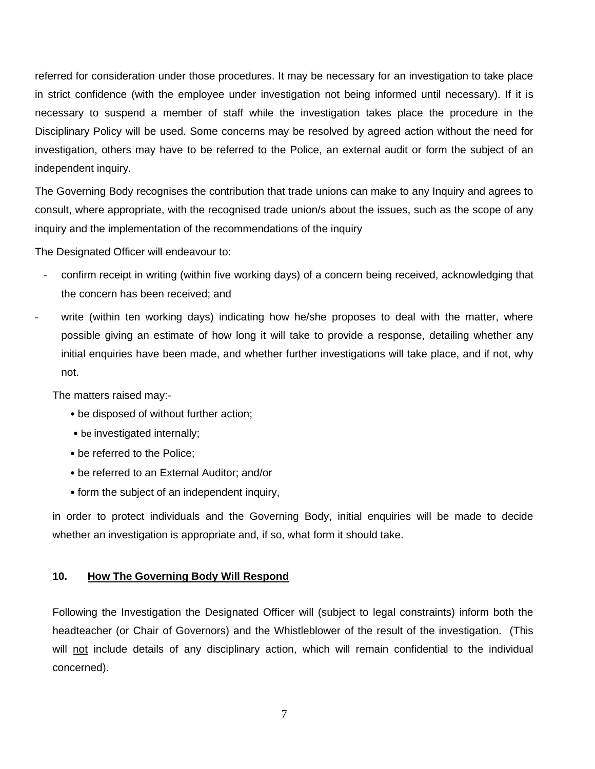referred for consideration under those procedures. It may be necessary for an investigation to take place in strict confidence (with the employee under investigation not being informed until necessary). If it is necessary to suspend a member of staff while the investigation takes place the procedure in the Disciplinary Policy will be used. Some concerns may be resolved by agreed action without the need for investigation, others may have to be referred to the Police, an external audit or form the subject of an independent inquiry.

The Governing Body recognises the contribution that trade unions can make to any Inquiry and agrees to consult, where appropriate, with the recognised trade union/s about the issues, such as the scope of any inquiry and the implementation of the recommendations of the inquiry

The Designated Officer will endeavour to:

- confirm receipt in writing (within five working days) of a concern being received, acknowledging that the concern has been received; and
- write (within ten working days) indicating how he/she proposes to deal with the matter, where possible giving an estimate of how long it will take to provide a response, detailing whether any initial enquiries have been made, and whether further investigations will take place, and if not, why not.

The matters raised may:-

- be disposed of without further action;
- be investigated internally;
- be referred to the Police;
- be referred to an External Auditor; and/or
- form the subject of an independent inquiry,

in order to protect individuals and the Governing Body, initial enquiries will be made to decide whether an investigation is appropriate and, if so, what form it should take.

#### **10. How The Governing Body Will Respond**

Following the Investigation the Designated Officer will (subject to legal constraints) inform both the headteacher (or Chair of Governors) and the Whistleblower of the result of the investigation. (This will not include details of any disciplinary action, which will remain confidential to the individual concerned).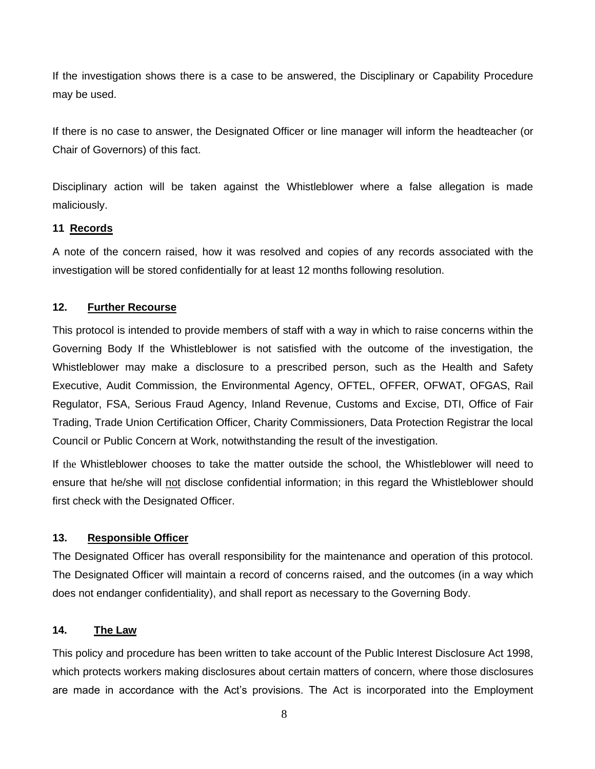If the investigation shows there is a case to be answered, the Disciplinary or Capability Procedure may be used.

If there is no case to answer, the Designated Officer or line manager will inform the headteacher (or Chair of Governors) of this fact.

Disciplinary action will be taken against the Whistleblower where a false allegation is made maliciously.

# **11 Records**

A note of the concern raised, how it was resolved and copies of any records associated with the investigation will be stored confidentially for at least 12 months following resolution.

# **12. Further Recourse**

This protocol is intended to provide members of staff with a way in which to raise concerns within the Governing Body If the Whistleblower is not satisfied with the outcome of the investigation, the Whistleblower may make a disclosure to a prescribed person, such as the Health and Safety Executive, Audit Commission, the Environmental Agency, OFTEL, OFFER, OFWAT, OFGAS, Rail Regulator, FSA, Serious Fraud Agency, Inland Revenue, Customs and Excise, DTI, Office of Fair Trading, Trade Union Certification Officer, Charity Commissioners, Data Protection Registrar the local Council or Public Concern at Work, notwithstanding the result of the investigation.

If the Whistleblower chooses to take the matter outside the school, the Whistleblower will need to ensure that he/she will not disclose confidential information; in this regard the Whistleblower should first check with the Designated Officer.

# **13. Responsible Officer**

The Designated Officer has overall responsibility for the maintenance and operation of this protocol. The Designated Officer will maintain a record of concerns raised, and the outcomes (in a way which does not endanger confidentiality), and shall report as necessary to the Governing Body.

# **14. The Law**

This policy and procedure has been written to take account of the Public Interest Disclosure Act 1998, which protects workers making disclosures about certain matters of concern, where those disclosures are made in accordance with the Act's provisions. The Act is incorporated into the Employment

8